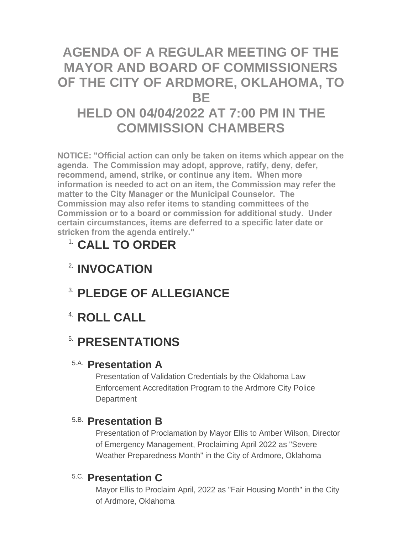# **AGENDA OF A REGULAR MEETING OF THE MAYOR AND BOARD OF COMMISSIONERS OF THE CITY OF ARDMORE, OKLAHOMA, TO BE HELD ON 04/04/2022 AT 7:00 PM IN THE COMMISSION CHAMBERS**

**NOTICE: "Official action can only be taken on items which appear on the agenda. The Commission may adopt, approve, ratify, deny, defer, recommend, amend, strike, or continue any item. When more information is needed to act on an item, the Commission may refer the matter to the City Manager or the Municipal Counselor. The Commission may also refer items to standing committees of the Commission or to a board or commission for additional study. Under certain circumstances, items are deferred to a specific later date or stricken from the agenda entirely."**

# **CALL TO ORDER** 1.

- **INVOCATION** 2.
- **PLEDGE OF ALLEGIANCE** 3.
- **ROLL CALL** 4.

# **5. PRESENTATIONS**

## **Presentation A** 5.A.

Presentation of Validation Credentials by the Oklahoma Law Enforcement Accreditation Program to the Ardmore City Police **Department** 

### **Presentation B** 5.B.

Presentation of Proclamation by Mayor Ellis to Amber Wilson, Director of Emergency Management, Proclaiming April 2022 as "Severe Weather Preparedness Month" in the City of Ardmore, Oklahoma

## **Presentation C** 5.C.

Mayor Ellis to Proclaim April, 2022 as "Fair Housing Month" in the City of Ardmore, Oklahoma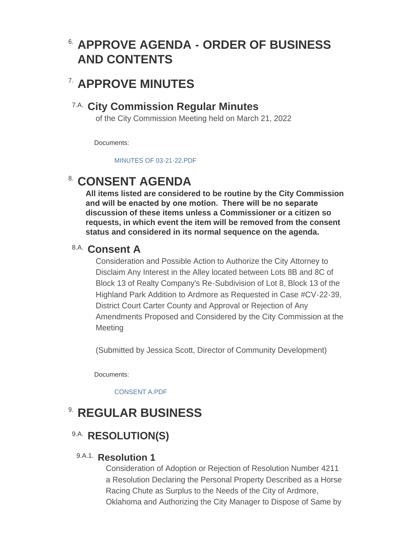# **APPROVE AGENDA - ORDER OF BUSINESS**  6. **AND CONTENTS**

## **APPROVE MINUTES** 7.

### **City Commission Regular Minutes** 7.A.

of the City Commission Meeting held on March 21, 2022

Documents:

[MINUTES OF 03-21-22.PDF](http://www.ardmorecity.org/AgendaCenter/ViewFile/Item/8295?fileID=4998)

# **CONSENT AGENDA**

**All items listed are considered to be routine by the City Commission and will be enacted by one motion. There will be no separate discussion of these items unless a Commissioner or a citizen so requests, in which event the item will be removed from the consent status and considered in its normal sequence on the agenda.**

### **Consent A** 8.A.

Consideration and Possible Action to Authorize the City Attorney to Disclaim Any Interest in the Alley located between Lots 8B and 8C of Block 13 of Realty Company's Re-Subdivision of Lot 8, Block 13 of the Highland Park Addition to Ardmore as Requested in Case #CV-22-39, District Court Carter County and Approval or Rejection of Any Amendments Proposed and Considered by the City Commission at the **Meeting** 

(Submitted by Jessica Scott, Director of Community Development)

Documents:

[CONSENT A.PDF](http://www.ardmorecity.org/AgendaCenter/ViewFile/Item/8296?fileID=5000)

# **8. REGULAR BUSINESS**

## 9.A. RESOLUTION(S)

### 9.A.1. Resolution 1

Consideration of Adoption or Rejection of Resolution Number 4211 a Resolution Declaring the Personal Property Described as a Horse Racing Chute as Surplus to the Needs of the City of Ardmore, Oklahoma and Authorizing the City Manager to Dispose of Same by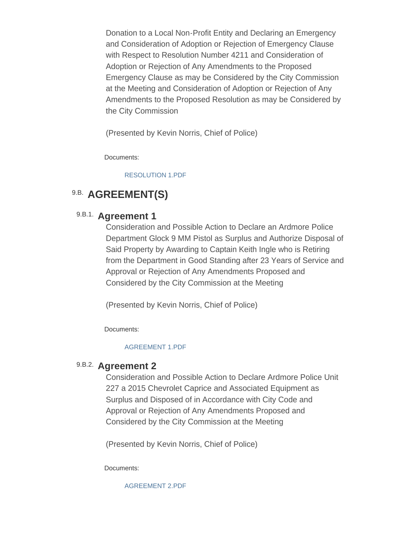Donation to a Local Non-Profit Entity and Declaring an Emergency and Consideration of Adoption or Rejection of Emergency Clause with Respect to Resolution Number 4211 and Consideration of Adoption or Rejection of Any Amendments to the Proposed Emergency Clause as may be Considered by the City Commission at the Meeting and Consideration of Adoption or Rejection of Any Amendments to the Proposed Resolution as may be Considered by the City Commission

(Presented by Kevin Norris, Chief of Police)

Documents:

#### [RESOLUTION 1.PDF](http://www.ardmorecity.org/AgendaCenter/ViewFile/Item/8299?fileID=5001)

## 9.B. **AGREEMENT(S)**

### 9.B.1. **Agreement 1**

Consideration and Possible Action to Declare an Ardmore Police Department Glock 9 MM Pistol as Surplus and Authorize Disposal of Said Property by Awarding to Captain Keith Ingle who is Retiring from the Department in Good Standing after 23 Years of Service and Approval or Rejection of Any Amendments Proposed and Considered by the City Commission at the Meeting

(Presented by Kevin Norris, Chief of Police)

Documents:

#### [AGREEMENT 1.PDF](http://www.ardmorecity.org/AgendaCenter/ViewFile/Item/8300?fileID=5002)

### 9.B.2. **Agreement 2**

Consideration and Possible Action to Declare Ardmore Police Unit 227 a 2015 Chevrolet Caprice and Associated Equipment as Surplus and Disposed of in Accordance with City Code and Approval or Rejection of Any Amendments Proposed and Considered by the City Commission at the Meeting

(Presented by Kevin Norris, Chief of Police)

Documents:

[AGREEMENT 2.PDF](http://www.ardmorecity.org/AgendaCenter/ViewFile/Item/8301?fileID=5003)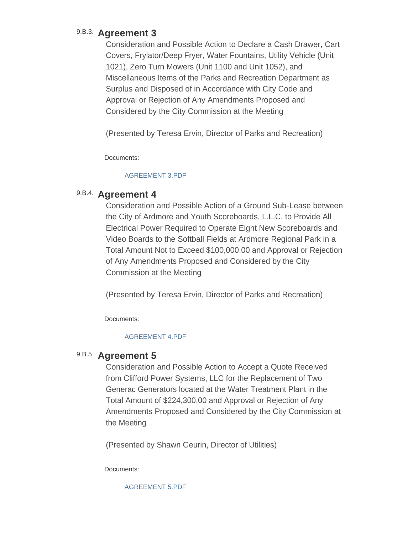### 9.B.3. Agreement 3

Consideration and Possible Action to Declare a Cash Drawer, Cart Covers, Frylator/Deep Fryer, Water Fountains, Utility Vehicle (Unit 1021), Zero Turn Mowers (Unit 1100 and Unit 1052), and Miscellaneous Items of the Parks and Recreation Department as Surplus and Disposed of in Accordance with City Code and Approval or Rejection of Any Amendments Proposed and Considered by the City Commission at the Meeting

(Presented by Teresa Ervin, Director of Parks and Recreation)

Documents:

#### [AGREEMENT 3.PDF](http://www.ardmorecity.org/AgendaCenter/ViewFile/Item/8302?fileID=5004)

### 9.B.4. Agreement 4

Consideration and Possible Action of a Ground Sub-Lease between the City of Ardmore and Youth Scoreboards, L.L.C. to Provide All Electrical Power Required to Operate Eight New Scoreboards and Video Boards to the Softball Fields at Ardmore Regional Park in a Total Amount Not to Exceed \$100,000.00 and Approval or Rejection of Any Amendments Proposed and Considered by the City Commission at the Meeting

(Presented by Teresa Ervin, Director of Parks and Recreation)

Documents:

#### [AGREEMENT 4.PDF](http://www.ardmorecity.org/AgendaCenter/ViewFile/Item/8303?fileID=5005)

### 9.B.5. Agreement 5

Consideration and Possible Action to Accept a Quote Received from Clifford Power Systems, LLC for the Replacement of Two Generac Generators located at the Water Treatment Plant in the Total Amount of \$224,300.00 and Approval or Rejection of Any Amendments Proposed and Considered by the City Commission at the Meeting

(Presented by Shawn Geurin, Director of Utilities)

Documents:

[AGREEMENT 5.PDF](http://www.ardmorecity.org/AgendaCenter/ViewFile/Item/8304?fileID=5006)